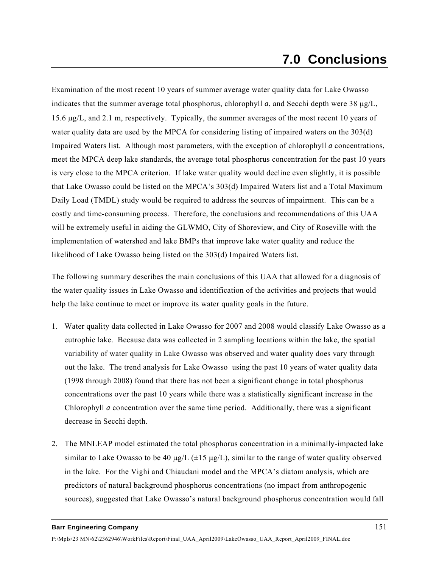## **7.0 Conclusions**

Examination of the most recent 10 years of summer average water quality data for Lake Owasso indicates that the summer average total phosphorus, chlorophyll *a*, and Secchi depth were 38 μg/L, 15.6 μg/L, and 2.1 m, respectively. Typically, the summer averages of the most recent 10 years of water quality data are used by the MPCA for considering listing of impaired waters on the 303(d) Impaired Waters list. Although most parameters, with the exception of chlorophyll *a* concentrations, meet the MPCA deep lake standards, the average total phosphorus concentration for the past 10 years is very close to the MPCA criterion. If lake water quality would decline even slightly, it is possible that Lake Owasso could be listed on the MPCA's 303(d) Impaired Waters list and a Total Maximum Daily Load (TMDL) study would be required to address the sources of impairment. This can be a costly and time-consuming process. Therefore, the conclusions and recommendations of this UAA will be extremely useful in aiding the GLWMO, City of Shoreview, and City of Roseville with the implementation of watershed and lake BMPs that improve lake water quality and reduce the likelihood of Lake Owasso being listed on the 303(d) Impaired Waters list.

The following summary describes the main conclusions of this UAA that allowed for a diagnosis of the water quality issues in Lake Owasso and identification of the activities and projects that would help the lake continue to meet or improve its water quality goals in the future.

- 1. Water quality data collected in Lake Owasso for 2007 and 2008 would classify Lake Owasso as a eutrophic lake. Because data was collected in 2 sampling locations within the lake, the spatial variability of water quality in Lake Owasso was observed and water quality does vary through out the lake. The trend analysis for Lake Owasso using the past 10 years of water quality data (1998 through 2008) found that there has not been a significant change in total phosphorus concentrations over the past 10 years while there was a statistically significant increase in the Chlorophyll *a* concentration over the same time period. Additionally, there was a significant decrease in Secchi depth.
- 2. The MNLEAP model estimated the total phosphorus concentration in a minimally-impacted lake similar to Lake Owasso to be 40  $\mu$ g/L ( $\pm$ 15  $\mu$ g/L), similar to the range of water quality observed in the lake. For the Vighi and Chiaudani model and the MPCA's diatom analysis, which are predictors of natural background phosphorus concentrations (no impact from anthropogenic sources), suggested that Lake Owasso's natural background phosphorus concentration would fall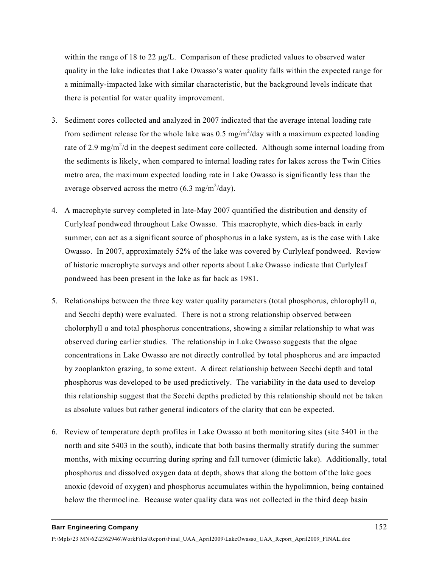within the range of 18 to 22 μg/L. Comparison of these predicted values to observed water quality in the lake indicates that Lake Owasso's water quality falls within the expected range for a minimally-impacted lake with similar characteristic, but the background levels indicate that there is potential for water quality improvement.

- 3. Sediment cores collected and analyzed in 2007 indicated that the average intenal loading rate from sediment release for the whole lake was  $0.5 \text{ mg/m}^2/\text{day}$  with a maximum expected loading rate of 2.9 mg/m<sup>2</sup>/d in the deepest sediment core collected. Although some internal loading from the sediments is likely, when compared to internal loading rates for lakes across the Twin Cities metro area, the maximum expected loading rate in Lake Owasso is significantly less than the average observed across the metro  $(6.3 \text{ mg/m}^2/\text{day})$ .
- 4. A macrophyte survey completed in late-May 2007 quantified the distribution and density of Curlyleaf pondweed throughout Lake Owasso. This macrophyte, which dies-back in early summer, can act as a significant source of phosphorus in a lake system, as is the case with Lake Owasso. In 2007, approximately 52% of the lake was covered by Curlyleaf pondweed. Review of historic macrophyte surveys and other reports about Lake Owasso indicate that Curlyleaf pondweed has been present in the lake as far back as 1981.
- 5. Relationships between the three key water quality parameters (total phosphorus, chlorophyll *a,*  and Secchi depth) were evaluated. There is not a strong relationship observed between cholorphyll *a* and total phosphorus concentrations, showing a similar relationship to what was observed during earlier studies. The relationship in Lake Owasso suggests that the algae concentrations in Lake Owasso are not directly controlled by total phosphorus and are impacted by zooplankton grazing, to some extent. A direct relationship between Secchi depth and total phosphorus was developed to be used predictively. The variability in the data used to develop this relationship suggest that the Secchi depths predicted by this relationship should not be taken as absolute values but rather general indicators of the clarity that can be expected.
- 6. Review of temperature depth profiles in Lake Owasso at both monitoring sites (site 5401 in the north and site 5403 in the south), indicate that both basins thermally stratify during the summer months, with mixing occurring during spring and fall turnover (dimictic lake). Additionally, total phosphorus and dissolved oxygen data at depth, shows that along the bottom of the lake goes anoxic (devoid of oxygen) and phosphorus accumulates within the hypolimnion, being contained below the thermocline. Because water quality data was not collected in the third deep basin

## **Barr Engineering Company** 152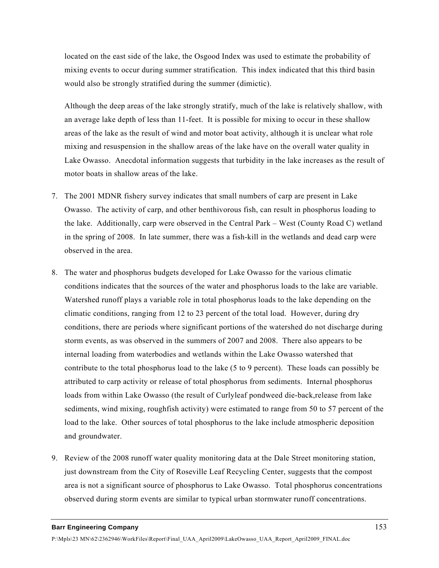located on the east side of the lake, the Osgood Index was used to estimate the probability of mixing events to occur during summer stratification. This index indicated that this third basin would also be strongly stratified during the summer (dimictic).

Although the deep areas of the lake strongly stratify, much of the lake is relatively shallow, with an average lake depth of less than 11-feet. It is possible for mixing to occur in these shallow areas of the lake as the result of wind and motor boat activity, although it is unclear what role mixing and resuspension in the shallow areas of the lake have on the overall water quality in Lake Owasso. Anecdotal information suggests that turbidity in the lake increases as the result of motor boats in shallow areas of the lake.

- 7. The 2001 MDNR fishery survey indicates that small numbers of carp are present in Lake Owasso. The activity of carp, and other benthivorous fish, can result in phosphorus loading to the lake. Additionally, carp were observed in the Central Park – West (County Road C) wetland in the spring of 2008. In late summer, there was a fish-kill in the wetlands and dead carp were observed in the area.
- 8. The water and phosphorus budgets developed for Lake Owasso for the various climatic conditions indicates that the sources of the water and phosphorus loads to the lake are variable. Watershed runoff plays a variable role in total phosphorus loads to the lake depending on the climatic conditions, ranging from 12 to 23 percent of the total load. However, during dry conditions, there are periods where significant portions of the watershed do not discharge during storm events, as was observed in the summers of 2007 and 2008. There also appears to be internal loading from waterbodies and wetlands within the Lake Owasso watershed that contribute to the total phosphorus load to the lake (5 to 9 percent). These loads can possibly be attributed to carp activity or release of total phosphorus from sediments. Internal phosphorus loads from within Lake Owasso (the result of Curlyleaf pondweed die-back,release from lake sediments, wind mixing, roughfish activity) were estimated to range from 50 to 57 percent of the load to the lake. Other sources of total phosphorus to the lake include atmospheric deposition and groundwater.
- 9. Review of the 2008 runoff water quality monitoring data at the Dale Street monitoring station, just downstream from the City of Roseville Leaf Recycling Center, suggests that the compost area is not a significant source of phosphorus to Lake Owasso. Total phosphorus concentrations observed during storm events are similar to typical urban stormwater runoff concentrations.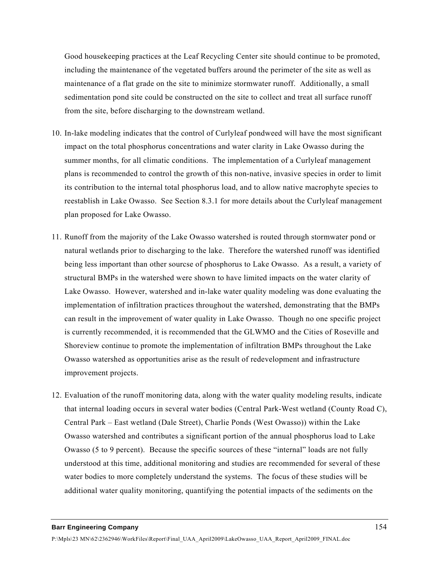Good housekeeping practices at the Leaf Recycling Center site should continue to be promoted, including the maintenance of the vegetated buffers around the perimeter of the site as well as maintenance of a flat grade on the site to minimize stormwater runoff. Additionally, a small sedimentation pond site could be constructed on the site to collect and treat all surface runoff from the site, before discharging to the downstream wetland.

- 10. In-lake modeling indicates that the control of Curlyleaf pondweed will have the most significant impact on the total phosphorus concentrations and water clarity in Lake Owasso during the summer months, for all climatic conditions. The implementation of a Curlyleaf management plans is recommended to control the growth of this non-native, invasive species in order to limit its contribution to the internal total phosphorus load, and to allow native macrophyte species to reestablish in Lake Owasso. See Section 8.3.1 for more details about the Curlyleaf management plan proposed for Lake Owasso.
- 11. Runoff from the majority of the Lake Owasso watershed is routed through stormwater pond or natural wetlands prior to discharging to the lake. Therefore the watershed runoff was identified being less important than other sourcse of phosphorus to Lake Owasso. As a result, a variety of structural BMPs in the watershed were shown to have limited impacts on the water clarity of Lake Owasso. However, watershed and in-lake water quality modeling was done evaluating the implementation of infiltration practices throughout the watershed, demonstrating that the BMPs can result in the improvement of water quality in Lake Owasso. Though no one specific project is currently recommended, it is recommended that the GLWMO and the Cities of Roseville and Shoreview continue to promote the implementation of infiltration BMPs throughout the Lake Owasso watershed as opportunities arise as the result of redevelopment and infrastructure improvement projects.
- 12. Evaluation of the runoff monitoring data, along with the water quality modeling results, indicate that internal loading occurs in several water bodies (Central Park-West wetland (County Road C), Central Park – East wetland (Dale Street), Charlie Ponds (West Owasso)) within the Lake Owasso watershed and contributes a significant portion of the annual phosphorus load to Lake Owasso (5 to 9 percent). Because the specific sources of these "internal" loads are not fully understood at this time, additional monitoring and studies are recommended for several of these water bodies to more completely understand the systems. The focus of these studies will be additional water quality monitoring, quantifying the potential impacts of the sediments on the